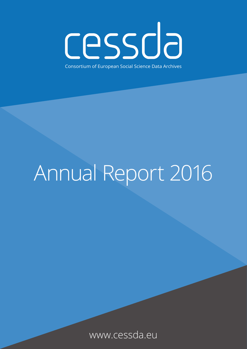cessda Consortium of European Social Science Data Archives

# Annual Report 2016

www.cessda.eu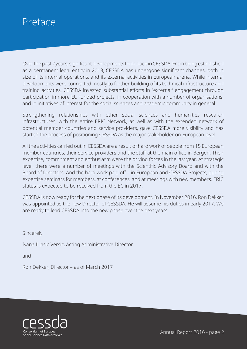# <span id="page-1-0"></span>Preface

Over the past 2 years, significant developments took place in CESSDA. From being established as a permanent legal entity in 2013, CESSDA has undergone significant changes, both in size of its internal operations, and its external activities in European arena. While internal developments were connected mostly to further building of its technical infrastructure and training activities, CESSDA invested substantial efforts in "external" engagement through participation in more EU funded projects, in cooperation with a number of organisations, and in initiatives of interest for the social sciences and academic community in general.

Strengthening relationships with other social sciences and humanities research infrastructures, with the entire ERIC Network, as well as with the extended network of potential member countries and service providers, gave CESSDA more visibility and has started the process of positioning CESSDA as the major stakeholder on European level.

All the activities carried out in CESSDA are a result of hard work of people from 15 European member countries, their service providers and the staff at the main office in Bergen. Their expertise, commitment and enthusiasm were the driving forces in the last year. At strategic level, there were a number of meetings with the Scientific Advisory Board and with the Board of Directors. And the hard work paid off – in European and CESSDA Projects, during expertise seminars for members, at conferences, and at meetings with new members. ERIC status is expected to be received from the EC in 2017.

CESSDA is now ready for the next phase of its development. In November 2016, Ron Dekker was appointed as the new Director of CESSDA. He will assume his duties in early 2017. We are ready to lead CESSDA into the new phase over the next years.

Sincerely,

Ivana Ilijasic Versic, Acting Administrative Director

and

Ron Dekker, Director – as of March 2017

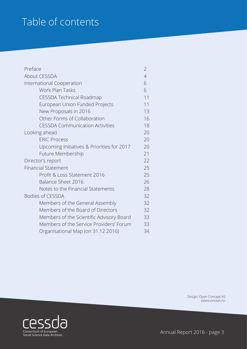# Table of contents

| Preface                                    | $\overline{2}$ |
|--------------------------------------------|----------------|
| About CESSDA                               | $\overline{4}$ |
| International Cooperation                  | 6              |
| Work Plan Tasks                            | 6              |
| <b>CESSDA Technical Roadmap</b>            | 11             |
| European Union Funded Projects             | 11             |
| New Proposals in 2016                      | 13             |
| Other Forms of Collaboration               | 16             |
| <b>CESSDA Communication Activities</b>     | 18             |
| Looking ahead                              | 20             |
| <b>ERIC Process</b>                        | 20             |
| Upcoming Initiatives & Priorities for 2017 | 20             |
| Future Membership                          | 21             |
| Director's report                          | 22             |
| <b>Financial Statement</b>                 | 25             |
| Profit & Loss Statement 2016               | 25             |
| <b>Balance Sheet 2016</b>                  | 26             |
| Notes to the Financial Statements          | 28             |
| <b>Bodies of CESSDA</b>                    | 32             |
| Members of the General Assembly            | 32             |
| Members of the Board of Directors          | 32             |
| Members of the Scientific Advisory Board   | 33             |
| Members of the Service Providers' Forum    | 33             |
| Organisational Map (on 31.12.2016)         | 34             |

Design: Open Concept AS openconcept.no



Annual Report 2016 - page 3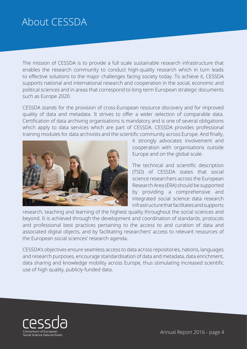# <span id="page-3-0"></span>About CESSDA

The mission of CESSDA is to provide a full scale sustainable research infrastructure that enables the research community to conduct high-quality research which in turn leads to effective solutions to the major challenges facing society today. To achieve it, CESSDA supports national and international research and cooperation in the social, economic and political sciences and in areas that correspond to long-term European strategic documents such as Europe 2020.

CESSDA stands for the provision of cross-European resource discovery and for improved quality of data and metadata. It strives to offer a wider selection of comparable data. Certification of data archiving organisations is mandatory and is one of several obligations which apply to data services which are part of CESSDA. CESSDA provides professional training modules for data archivists and the scientific community across Europe. And finally,



it strongly advocates involvement and cooperation with organisations outside Europe and on the global scale.

The technical and scientific description (TSD) of CESSDA states that social science researchers across the European Research Area (ERA) should be supported by providing a comprehensive and integrated social science data research infrastructure that facilitates and supports

research, teaching and learning of the highest quality throughout the social sciences and beyond. It is achieved through the development and coordination of standards, protocols and professional best practices pertaining to the access to and curation of data and associated digital objects, and by facilitating researchers' access to relevant resources of the European social sciences' research agenda.

CESSDA's objectives ensure seamless access to data across repositories, nations, languages and research purposes, encourage standardisation of data and metadata, data enrichment, data sharing and knowledge mobility across Europe, thus stimulating increased scientific use of high quality, publicly-funded data.

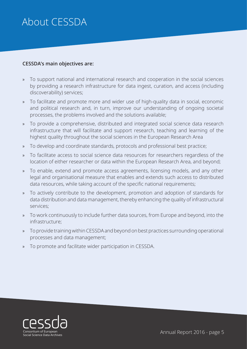# About CESSDA

### **CESSDA's main objectives are:**

- » To support national and international research and cooperation in the social sciences by providing a research infrastructure for data ingest, curation, and access (including discoverability) services;
- » To facilitate and promote more and wider use of high-quality data in social, economic and political research and, in turn, improve our understanding of ongoing societal processes, the problems involved and the solutions available;
- » To provide a comprehensive, distributed and integrated social science data research infrastructure that will facilitate and support research, teaching and learning of the highest quality throughout the social sciences in the European Research Area
- » To develop and coordinate standards, protocols and professional best practice;
- » To facilitate access to social science data resources for researchers regardless of the location of either researcher or data within the European Research Area, and beyond;
- » To enable, extend and promote access agreements, licensing models, and any other legal and organisational measure that enables and extends such access to distributed data resources, while taking account of the specific national requirements;
- » To actively contribute to the development, promotion and adoption of standards for data distribution and data management, thereby enhancing the quality of infrastructural services;
- » To work continuously to include further data sources, from Europe and beyond, into the infrastructure;
- » To provide training within CESSDA and beyond on best practices surrounding operational processes and data management;
- » To promote and facilitate wider participation in CESSDA.

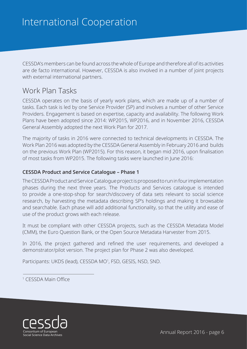<span id="page-5-0"></span>CESSDA's members can be found across the whole of Europe and therefore all of its activities are de facto international. However, CESSDA is also involved in a number of joint projects with external international partners.

### Work Plan Tasks

CESSDA operates on the basis of yearly work plans, which are made up of a number of tasks. Each task is led by one Service Provider (SP) and involves a number of other Service Providers. Engagement is based on expertise, capacity and availability. The following Work Plans have been adopted since 2014: WP2015, WP2016, and in November 2016, CESSDA General Assembly adopted the next Work Plan for 2017.

The majority of tasks in 2016 were connected to technical developments in CESSDA. The Work Plan 2016 was adopted by the CESSDA General Assembly in February 2016 and builds on the previous Work Plan (WP2015). For this reason, it began mid 2016, upon finalisation of most tasks from WP2015. The following tasks were launched in June 2016:

### **CESSDA Product and Service Catalogue – Phase 1**

The CESSDA Product and Service Catalogue project is proposed to run in four implementation phases during the next three years. The Products and Services catalogue is intended to provide a one-stop-shop for search/discovery of data sets relevant to social science research, by harvesting the metadata describing SP's holdings and making it browsable and searchable. Each phase will add additional functionality, so that the utility and ease of use of the product grows with each release.

It must be compliant with other CESSDA projects, such as the CESSDA Metadata Model (CMM), the Euro Question Bank, or the Open Source Metadata Harvester from 2015.

In 2016, the project gathered and refined the user requirements, and developed a demonstrator/pilot version. The project plan for Phase 2 was also developed.

Participants: UKDS (lead), CESSDA MO<sup>1</sup>, FSD, GESIS, NSD, SND.

1 CESSDA Main Office

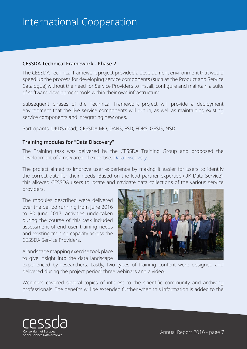### **CESSDA Technical Framework - Phase 2**

The CESSDA Technical framework project provided a development environment that would speed up the process for developing service components (such as the Product and Service Catalogue) without the need for Service Providers to install, configure and maintain a suite of software development tools within their own infrastructure.

Subsequent phases of the Technical Framework project will provide a deployment environment that the live service components will run in, as well as maintaining existing service components and integrating new ones.

Participants: UKDS (lead), CESSDA MO, DANS, FSD, FORS, GESIS, NSD.

### **Training modules for "Data Discovery"**

The Training task was delivered by the CESSDA Training Group and proposed the development of a new area of expertise: [Data Discovery](https://www.cessda.eu/Research-Infrastructure/Training/Data-Discovery).

The project aimed to improve user experience by making it easier for users to identify the correct data for their needs. Based on the lead partner expertise (UK Data Service), this allowed CESSDA users to locate and navigate data collections of the various service providers.

The modules described were delivered over the period running from June 2016 to 30 June 2017. Activities undertaken during the course of this task included assessment of end user training needs and existing training capacity across the CESSDA Service Providers.

A landscape mapping exercise took place to give insight into the data landscape



experienced by researchers. Lastly, two types of training content were designed and delivered during the project period: three webinars and a video.

Webinars covered several topics of interest to the scientific community and archiving professionals. The benefits will be extended further when this information is added to the

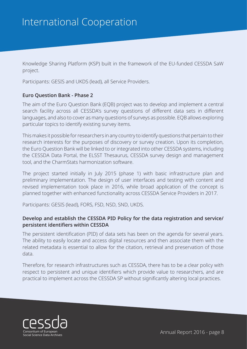Knowledge Sharing Platform (KSP) built in the framework of the EU-funded CESSDA SaW project.

Participants: GESIS and UKDS (lead), all Service Providers.

#### **Euro Question Bank - Phase 2**

The aim of the Euro Question Bank (EQB) project was to develop and implement a central search facility across all CESSDA's survey questions of different data sets in different languages, and also to cover as many questions of surveys as possible. EQB allows exploring particular topics to identify existing survey items.

This makes it possible for researchers in any country to identify questions that pertain to their research interests for the purposes of discovery or survey creation. Upon its completion, the Euro Question Bank will be linked to or integrated into other CESSDA systems, including the CESSDA Data Portal, the ELSST Thesaurus, CESSDA survey design and management tool, and the CharmStats harmonization software.

The project started initially in July 2015 (phase 1) with basic infrastructure plan and preliminary implementation. The design of user interfaces and testing with content and revised implementation took place in 2016, while broad application of the concept is planned together with enhanced functionality across CESSDA Service Providers in 2017.

Participants: GESIS (lead), FORS, FSD, NSD, SND, UKDS.

### **Develop and establish the CESSDA PID Policy for the data registration and service/ persistent identifiers within CESSDA**

The persistent identification (PID) of data sets has been on the agenda for several years. The ability to easily locate and access digital resources and then associate them with the related metadata is essential to allow for the citation, retrieval and preservation of those data.

Therefore, for research infrastructures such as CESSDA, there has to be a clear policy with respect to persistent and unique identifiers which provide value to researchers, and are practical to implement across the CESSDA SP without significantly altering local practices.

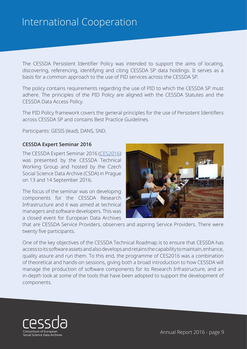The CESSDA Persistent Identifier Policy was intended to support the aims of locating, discovering, referencing, identifying and citing CESSDA SP data holdings. It serves as a basis for a common approach to the use of PID services across the CESSDA SP.

The policy contains requirements regarding the use of PID to which the CESSDA SP must adhere. The principles of the PID Policy are aligned with the CESSDA Statutes and the CESSDA Data Access Policy.

The PID Policy framework covers the general principles for the use of Persistent Identifiers across CESSDA SP and contains Best Practice Guidelines.

Participants: GESIS (lead), DANS, SND.

#### **CESSDA Expert Seminar 2016**

The CESSDA Expert Seminar 2016 ([CES2016\)](https://www.cessda.eu/Consortium/Communication/News/CESSDA/Vision-on!-CESSDA-s-Expert-Seminar-shows-the-way) was presented by the CESSDA Technical Working Group and hosted by the Czech Social Science Data Archive (CSDA) in Prague on 13 and 14 September 2016.

The focus of the seminar was on developing components for the CESSDA Research Infrastructure and it was aimed at technical managers and software developers. This was a closed event for European Data Archives



that are CESSDA Service Providers, observers and aspiring Service Providers. There were twenty five participants.

One of the key objectives of the CESSDA Technical Roadmap is to ensure that CESSDA has access to its software assets and also develops and retains the capability to maintain, enhance, quality assure and run them. To this end, the programme of CES2016 was a combination of theoretical and hands-on sessions, giving both a broad introduction to how CESSDA will manage the production of software components for its Research Infrastructure, and an in-depth look at some of the tools that have been adopted to support the development of components.

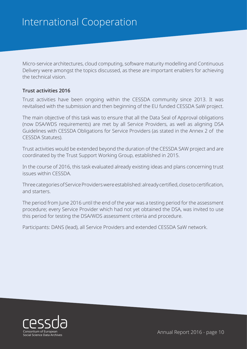Micro-service architectures, cloud computing, software maturity modelling and Continuous Delivery were amongst the topics discussed, as these are important enablers for achieving the technical vision.

### **Trust activities 2016**

Trust activities have been ongoing within the CESSDA community since 2013. It was revitalised with the submission and then beginning of the EU funded CESSDA SaW project.

The main objective of this task was to ensure that all the Data Seal of Approval obligations (now DSA/WDS requirements) are met by all Service Providers, as well as aligning DSA Guidelines with CESSDA Obligations for Service Providers (as stated in the Annex 2 of the CESSDA Statutes).

Trust activities would be extended beyond the duration of the CESSDA SAW project and are coordinated by the Trust Support Working Group, established in 2015.

In the course of 2016, this task evaluated already existing ideas and plans concerning trust issues within CESSDA.

Three categories of Service Providers were established: already certified, close to certification, and starters.

The period from June 2016 until the end of the year was a testing period for the assessment procedure; every Service Provider which had not yet obtained the DSA, was invited to use this period for testing the DSA/WDS assessment criteria and procedure.

Participants: DANS (lead), all Service Providers and extended CESSDA SaW network.

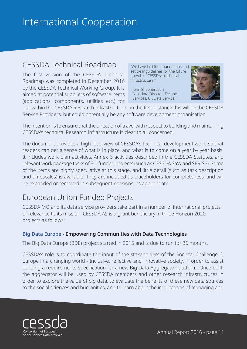# <span id="page-10-0"></span>CESSDA Technical Roadmap

The first version of the CESSDA Technical Roadmap was completed in December 2016 by the CESSDA Technical Working Group. It is aimed at potential suppliers of software items (applications, components, utilities etc.) for "We have laid firm foundations and set clear guidelines for the future growth of CESSDA's technical infrastructure."

- John Shepherdson Associate Director, Technical Services, UK Data Service



use within the CESSDA Research Infrastructure - in the first instance this will be the CESSDA Service Providers, but could potentially be any software development organisation.

The intention is to ensure that the direction of travel with respect to building and maintaining CESSDA's technical Research Infrastructure is clear to all concerned.

The document provides a high-level view of CESSDA's technical development work, so that readers can get a sense of what is in place, and what is to come on a year by year basis. It includes work plan activities, Annex 6 activities described in the CESSDA Statutes, and relevant work package tasks of EU-funded projects (such as CESSDA SaW and SERISS). Some of the items are highly speculative at this stage, and little detail (such as task description and timescales) is available. They are included as placeholders for completeness, and will be expanded or removed in subsequent revisions, as appropriate.

# European Union Funded Projects

CESSDA MO and its data service providers take part in a number of international projects of relevance to its mission. CESSDA AS is a grant beneficiary in three Horizon 2020 projects as follows:

### **[Big Data Europe](https://www.cessda.eu/Projects/All-projects/BigDataEurope) - Empowering Communities with Data Technologies**

The Big Data Europe (BDE) project started in 2015 and is due to run for 36 months.

CESSDA's role is to coordinate the input of the stakeholders of the Societal Challenge 6: Europe in a changing world - Inclusive, reflective and innovative society, in order to assist building a requirements specification for a new Big Data Aggregator platform. Once built, the aggregator will be used by CESSDA members and other research infrastructures in order to explore the value of big data, to evaluate the benefits of these new data sources to the social sciences and humanities, and to learn about the implications of managing and

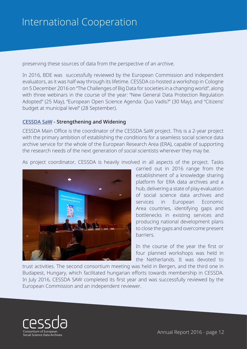preserving these sources of data from the perspective of an archive.

In 2016, BDE was successfully reviewed by the European Commission and independent evaluators, as it was half way through its lifetime. CESSDA co-hosted a workshop in Cologne on 5 December 2016 on "The Challenges of Big Data for societies in a changing world", along with three webinars in the course of the year: "New General Data Protection Regulation Adopted" (25 May), "European Open Science Agenda: Quo Vadis?" (30 May), and "Citizens' budget at municipal level" (28 September).

### **[CESSDA SaW](https://www.cessda.eu/Projects/All-projects/CESSDA-SaW) - Strengthening and Widening**

CESSDA Main Office is the coordinator of the CESSDA SaW project. This is a 2-year project with the primary ambition of establishing the conditions for a seamless social science data archive service for the whole of the European Research Area (ERA), capable of supporting the research needs of the next generation of social scientists wherever they may be.

As project coordinator, CESSDA is heavily involved in all aspects of the project. Tasks



carried out in 2016 range from the establishment of a knowledge sharing platform for ERA data archives and a hub, delivering a state of play evaluation of social science data archives and services in European Economic Area countries, identifying gaps and bottlenecks in existing services and producing national development plans to close the gaps and overcome present barriers.

In the course of the year the first or four planned workshops was held in the Netherlands. It was devoted to

trust activities. The second consortium meeting was held in Bergen, and the third one in Budapest, Hungary, which facilitated hungarian efforts towards membership in CESSDA. In July 2016, CESSDA SAW completed its first year and was successfully reviewed by the European Commission and an independent reviewer.

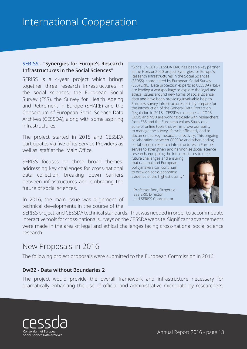### <span id="page-12-0"></span>**[SERISS](https://seriss.eu/) - "Synergies for Europe's Research Infrastructures in the Social Sciences"**

SERISS is a 4-year project which brings together three research infrastructures in the social sciences: the European Social Survey (ESS), the Survey for Health Ageing and Retirement in Europe (SHARE) and the Consortium of European Social Science Data Archives (CESSDA), along with some aspiring infrastructures.

The project started in 2015 and CESSDA participates via five of its Service Providers as well as staff at the Main Office.

SERISS focuses on three broad themes: addressing key challenges for cross-national data collection, breaking down barriers between infrastructures and embracing the future of social sciences.

In 2016, the main issue was alignment of technical developments in the course of the

"Since July 2015 CESSDA ERIC has been a key partner in the Horizon2020 project Synergies for Europe's Research Infrastructures in the Social Sciences (SERSS), coordinated by European Social Survey (ESS) ERIC. Data protection experts at CESSDA (NSD) are leading a workpackage to explore the legal and ethical issues around new forms of social science data and have been providing invaluable help to Europe's survey infrastructures as they prepare for the introduction of the General Data Protection Regulation in 2018. CESSDA colleagues at FORS, GESIS and NSD are working closely with researchers from ESS and the European Values Study on a suite of online tools that will improve our ability to manage the survey lifecycle efficiently and to document survey metadata effectively. This ongoing collaboration between CESSDA and other leading social science research infrastructures in Europe serves to strengthen and harmonise social science research, equipping the infrastructures to meet

future challenges and ensuring that national and European policymakers can continue to draw on socio-economic evidence of the highest quality."

- Professor Rory Fitzgerald ESS ERIC Director and SERISS Coordinator



SERISS project, and CESSDA technical standards. That was needed in order to accommodate interactive tools for cross-national surveys on the CESSDA website. Significant advancements were made in the area of legal and ethical challenges facing cross-national social science research.

### New Proposals in 2016

The following project proposals were submitted to the European Commission in 2016:

#### **DwB2 - Data without Boundaries 2**

The project would provide the overall framework and infrastructure necessary for dramatically enhancing the use of official and administrative microdata by researchers,

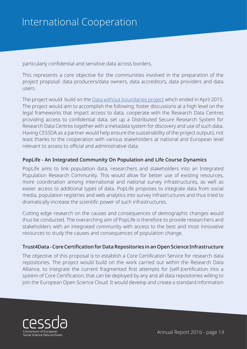particularly confidential and sensitive data across borders.

This represents a core objective for the communities involved in the preparation of the project proposal: data producers/data owners, data accreditors, data providers and data users.

The project would build on the [Data without boundaries project](https://www.cessda.eu/Projects/All-projects/DwB) which ended in April 2015. The project would aim to accomplish the following: foster discussions at a high level on the legal frameworks that impact access to data, cooperate with the Research Data Centres providing access to confidential data, set up a Distributed Secure Research System for Research Data Centres together with a metadata system for discovery and use of such data. Having CESSDA as a partner would help ensure the sustainability of the project outputs, not least thanks to the cooperation with various stakeholders at national and European level relevant to access to official and administrative data.

### **PopLife - An Integrated Community On Population and Life Course Dynamics**

PopLife aims to link population data, researchers and stakeholders into an Integrated Population Research Community. This would allow for better use of existing resources, more coordination among international and national survey infrastructures, as well as easier access to additional types of data. PopLife proposes to integrate data from social media, population registries and web analytics into survey infrastructures and thus tried to dramatically increase the scientific power of such infrastructures.

Cutting edge research on the causes and consequences of demographic changes would thus be conducted. The overarching aim of PopLife is therefore to provide researchers and stakeholders with an integrated community with access to the best and most innovative resources to study the causes and consequences of population change.

### **Trust4Data - Core Certification for Data Repositories in an Open Science Infrastructure**

The objective of this proposal is to establish a Core Certification Service for research data repositories. The project would build on the work carried out within the Research Data Alliance, to integrate the current fragmented first attempts for (self-)certification into a system of Core Certification, that can be deployed by any and all data repositories willing to join the European Open Science Cloud. It would develop and create a standard information

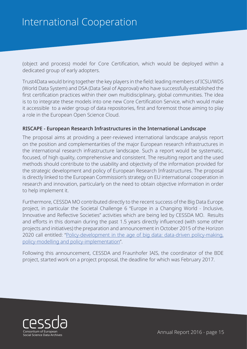(object and process) model for Core Certification, which would be deployed within a dedicated group of early adopters.

Trust4Data would bring together the key players in the field: leading members of ICSU/WDS (World Data System) and DSA (Data Seal of Approval) who have successfully established the first certification practices within their own multidisciplinary, global communities. The idea is to to integrate these models into one new Core Certification Service, which would make it accessible to a wider group of data repositories, first and foremost those aiming to play a role in the European Open Science Cloud.

### **RISCAPE - European Research Infrastructures in the International Landscape**

The proposal aims at providing a peer-reviewed international landscape analysis report on the position and complementarities of the major European research infrastructures in the international research infrastructure landscape. Such a report would be systematic, focused, of high quality, comprehensive and consistent. The resulting report and the used methods should contribute to the usability and objectivity of the information provided for the strategic development and policy of European Research Infrastructures. The proposal is directly linked to the European Commission's strategy on EU international cooperation in research and innovation, particularly on the need to obtain objective information in order to help implement it.

Furthermore, CESSDA MO contributed directly to the recent success of the Big Data Europe project, in particular the Societal Challenge 6 "Europe in a Changing World - Inclusive, Innovative and Reflective Societies" activities which are being led by CESSDA MO. Results and efforts in this domain during the past 1.5 years directly influenced (with some other projects and initiatives) the preparation and announcement in October 2015 of the Horizon 2020 call entitled: ["Policy-development in the age of big data: data-driven policy-making,](http://ec.europa.eu/research/participants/portal/desktop/en/opportunities/h2020/topics/co-creation-06-2017.html)  [policy-modelling and policy-implementation](http://ec.europa.eu/research/participants/portal/desktop/en/opportunities/h2020/topics/co-creation-06-2017.html)".

Following this announcement, CESSDA and Fraunhofer IAIS, the coordinator of the BDE project, started work on a project proposal, the deadline for which was February 2017.

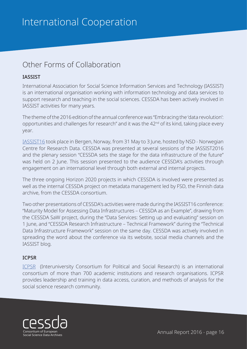# <span id="page-15-0"></span>Other Forms of Collaboration

### **IASSIST**

International Association for Social Science Information Services and Technology (IASSIST) is an international organisation working with information technology and data services to support research and teaching in the social sciences. CESSDA has been actively involved in IASSIST activities for many years.

The theme of the 2016 edition of the annual conference was "Embracing the 'data revolution': opportunities and challenges for research" and it was the 42nd of its kind, taking place every year.

[IASSIST16](http://iassist2016.org) took place in Bergen, Norway, from 31 May to 3 June, hosted by NSD - Norwegian Centre for Research Data. CESSDA was presented at several sessions of the IASSIST2016 and the plenary session "CESSDA sets the stage for the data infrastructure of the future" was held on 2 June. This session presented to the audience CESSDA's activities through engagement on an international level through both external and internal projects.

The three ongoing Horizon 2020 projects in which CESSDA is involved were presented as well as the internal CESSDA project on metadata management led by FSD, the Finnish data archive, from the CESSDA consortium.

Two other presentations of CESSDA's activities were made during the IASSIST16 conference: "Maturity Model for Assessing Data Infrastructures – CESSDA as an Example", drawing from the CESSDA SaW project, during the "Data Services: Setting up and evaluating" session on 1 June, and "CESSDA Research Infrastructure – Technical Framework" during the "Technical Data Infrastructure Framework" session on the same day. CESSDA was actively involved in spreading the word about the conference via its website, social media channels and the IASSIST blog.

### **ICPSR**

[ICPSR](http://www.icpsr.umich.edu/icpsrweb/) (Interuniversity Consortium for Political and Social Research) is an international consortium of more than 700 academic institutions and research organisations. ICPSR provides leadership and training in data access, curation, and methods of analysis for the social science research community.

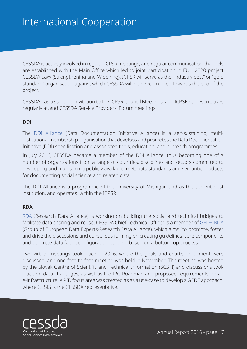CESSDA is actively involved in regular ICPSR meetings, and regular communication channels are established with the Main Office which led to joint participation in EU H2020 project CESSDA SaW (Strengthening and Widening). ICPSR will serve as the "industry best" or "gold standard" organisation against which CESSDA will be benchmarked towards the end of the project.

CESSDA has a standing invitation to the ICPSR Council Meetings, and ICPSR representatives regularly attend CESSDA Service Providers' Forum meetings.

### **DDI**

The [DDI Alliance](http://www.ddialliance.org/) (Data Documentation Initiative Alliance) is a self-sustaining, multiinstitutional membership organisation that develops and promotes the Data Documentation Initiative (DDI) specification and associated tools, education, and outreach programmes.

In July 2016, CESSDA became a member of the DDI Alliance, thus becoming one of a number of organisations from a range of countries, disciplines and sectors committed to developing and maintaining publicly available metadata standards and semantic products for documenting social science and related data.

The DDI Alliance is a programme of the University of Michigan and as the current host institution, and operates within the ICPSR.

#### **RDA**

[RDA](https://www.eudat.eu/blog/research-data-alliance-europe-update) (Research Data Alliance) is working on building the social and technical bridges to facilitate data sharing and reuse. CESSDA Chief Technical Officer is a member of [GEDE-RDA](https://www.rd-alliance.org/groups/gede-group-european-data-experts-rda) (Group of European Data Experts-Research Data Alliance), which aims "to promote, foster and drive the discussions and consensus forming on creating guidelines, core components and concrete data fabric configuration building based on a bottom-up process".

Two virtual meetings took place in 2016, where the goals and charter document were discussed, and one face-to-face meeting was held in November. The meeting was hosted by the Slovak Centre of Scientific and Technical Information (SCSTI) and discussions took place on data challenges, as well as the IRG Roadmap and proposed requirements for an e-infrastructure. A PID focus area was created as as a use-case to develop a GEDE approach, where GESIS is the CESSDA representative.

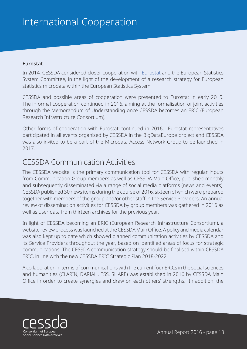### <span id="page-17-0"></span>**Eurostat**

In 2014, CESSDA considered closer cooperation with [Eurostat](http://ec.europa.eu/eurostat) and the European Statistics System Committee, in the light of the development of a research strategy for European statistics microdata within the European Statistics System.

CESSDA and possible areas of cooperation were presented to Eurostat in early 2015. The informal cooperation continued in 2016, aiming at the formalisation of joint activities through the Memorandum of Understanding once CESSDA becomes an ERIC (European Research Infrastructure Consortium).

Other forms of cooperation with Eurostat continued in 2016; Eurostat representatives participated in all events organised by CESSDA in the BigDataEurope project and CESSDA was also invited to be a part of the Microdata Access Network Group to be launched in 2017.

### CESSDA Communication Activities

The CESSDA website is the primary communication tool for CESSDA with regular inputs from Communication Group members as well as CESSDA Main Office, published monthly and subsequently disseminated via a range of social media platforms (news and events). CESSDA published 30 news items during the course of 2016, sixteen of which were prepared together with members of the group and/or other staff in the Service Providers. An annual review of dissemination activities for CESSDA by group members was gathered in 2016 as well as user data from thirteen archives for the previous year.

In light of CESSDA becoming an ERIC (European Research Infrastructure Consortium), a website review process was launched at the CESSDA Main Office. A policy and media calendar was also kept up to date which showed planned communication activities by CESSDA and its Service Providers throughout the year, based on identified areas of focus for strategic communications. The CESSDA communication strategy should be finalised within CESSDA ERIC, in line with the new CESSDA ERIC Strategic Plan 2018-2022.

A collaboration in terms of communications with the current four ERICs in the social sciences and humanities (CLARIN, DARIAH, ESS, SHARE) was established in 2016 by CESSDA Main Office in order to create synergies and draw on each others' strengths. In addition, the

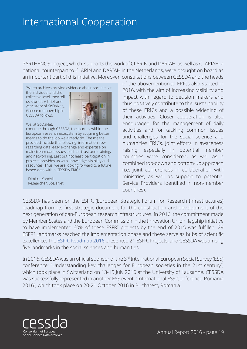PARTHENOS project, which supports the work of CLARIN and DARIAH, as well as CLARIAH, a national counterpart to CLARIN and DARIAH in the Netherlands, were brought on board as an important part of this initiative. Moreover, consultations between CESSDA and the heads

"When archives provide evidence about societies at

the individual and the collective level, they tell us stories. A brief oneyear-story of SoDaNet\_ Greece membership in CESSDA follows.

We, at SoDaNet,



continue through CESSDA, the journey within the European research ecosystem by acquiring better means to do the job we already do. The means provided include the following: information flow regarding data, easy exchange and expertise on mainstream data issues, such as trust and training, and networking. Last but not least, participation in projects provides us with knowledge, visibility and resources. Thus, we are looking forward to a future based data within CESSDA ERIC.

- Dimitra Kondyli Researcher, SoDaNet

of the abovementioned ERICs also started in 2016, with the aim of increasing visibility and impact with regard to decision makers and thus positively contribute to the sustainability of these ERICs and a possible widening of their activities. Closer cooperation is also encouraged for the management of daily activities and for tackling common issues and challenges for the social science and humanities ERICs. Joint efforts in awareness raising, especially in potential member countries were considered, as well as a combined top-down and bottom-up approach (i.e. joint conferences in collaboration with ministries, as well as support to potential Service Providers identified in non-member countries).

CESSDA has been on the ESFRI (European Strategic Forum for Research Infrastructures) roadmap from its first strategic document for the construction and development of the next generation of pan-European research infrastructures. In 2016, the commitment made by Member States and the European Commission in the Innovation Union flagship initiative to have implemented 60% of these ESFRI projects by the end of 2015 was fulfilled. 29 ESFRI Landmarks reached the implementation phase and these serve as hubs of scientific excellence. The [ESFRI Roadmap 2016](http://www.esfri.eu/roadmap-2016) presented 21 ESFRI Projects, and CESSDA was among five landmarks in the social sciences and humanities.

In 2016, CESSDA was an official sponsor of the 3rd International European Social Survey (ESS) conference: "Understanding key challenges for European societies in the 21st century", which took place in Switzerland on 13-15 July 2016 at the University of Lausanne. CESSDA was successfully represented in another ESS event: "International ESS Conference-Romania 2016", which took place on 20-21 October 2016 in Bucharest, Romania.

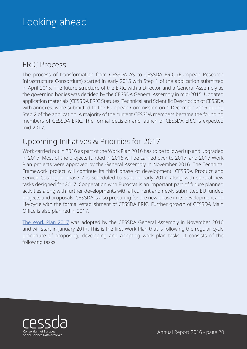# <span id="page-19-0"></span>Looking ahead

### ERIC Process

The process of transformation from CESSDA AS to CESSDA ERIC (European Research Infrastructure Consortium) started in early 2015 with Step 1 of the application submitted in April 2015. The future structure of the ERIC with a Director and a General Assembly as the governing bodies was decided by the CESSDA General Assembly in mid-2015. Updated application materials (CESSDA ERIC Statutes, Technical and Scientific Description of CESSDA with annexes) were submitted to the European Commission on 1 December 2016 during Step 2 of the application. A majority of the current CESSDA members became the founding members of CESSDA ERIC. The formal decision and launch of CESSDA ERIC is expected mid-2017.

### Upcoming Initiatives & Priorities for 2017

Work carried out in 2016 as part of the Work Plan 2016 has to be followed up and upgraded in 2017. Most of the projects funded in 2016 will be carried over to 2017, and 2017 Work Plan projects were approved by the General Assembly in November 2016. The Technical Framework project will continue its third phase of development. CESSDA Product and Service Catalogue phase 2 is scheduled to start in early 2017, along with several new tasks designed for 2017. Cooperation with Eurostat is an important part of future planned activities along with further developments with all current and newly submitted EU funded projects and proposals. CESSDA is also preparing for the new phase in its development and life-cycle with the formal establishment of CESSDA ERIC. Further growth of CESSDA Main Office is also planned in 2017.

[The Work Plan 2017](https://www.cessda.eu/Projects/Work-Plans) was adopted by the CESSDA General Assembly in November 2016 and will start in January 2017. This is the first Work Plan that is following the regular cycle procedure of proposing, developing and adopting work plan tasks. It consists of the following tasks:

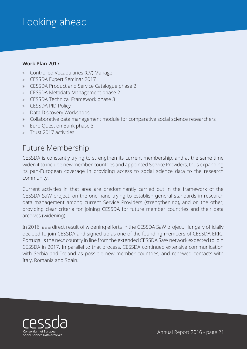# <span id="page-20-0"></span>Looking ahead

### **Work Plan 2017**

- » Controlled Vocabularies (CV) Manager
- » CESSDA Expert Seminar 2017
- » CESSDA Product and Service Catalogue phase 2
- » CESSDA Metadata Management phase 2
- » CESSDA Technical Framework phase 3
- » CESSDA PID Policy
- » Data Discovery Workshops
- » Collaborative data management module for comparative social science researchers
- » Euro Question Bank phase 3
- » Trust 2017 activities

### Future Membership

CESSDA is constantly trying to strengthen its current membership, and at the same time widen it to include new member countries and appointed Service Providers, thus expanding its pan-European coverage in providing access to social science data to the research community.

Current activities in that area are predominantly carried out in the framework of the CESSDA SaW project; on the one hand trying to establish general standards in research data management among current Service Providers (strengthening), and on the other, providing clear criteria for joining CESSDA for future member countries and their data archives (widening).

In 2016, as a direct result of widening efforts in the CESSDA SaW project, Hungary officially decided to join CESSDA and signed up as one of the founding members of CESSDA ERIC. Portugal is the next country in line from the extended CESSDA SaW network expected to join CESSDA in 2017. In parallel to that process, CESSDA continued extensive communication with Serbia and Ireland as possible new member countries, and renewed contacts with Italy, Romania and Spain.

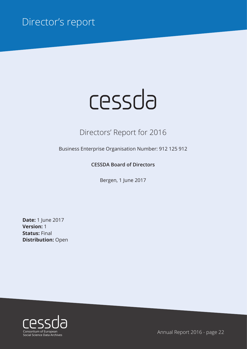# <span id="page-21-0"></span>Director's report

# cessda

# Directors' Report for 2016

Business Enterprise Organisation Number: 912 125 912

### **CESSDA Board of Directors**

Bergen, 1 June 2017

**Date:** 1 June 2017 **Version:** 1 **Status:** Final **Distribution:** Open

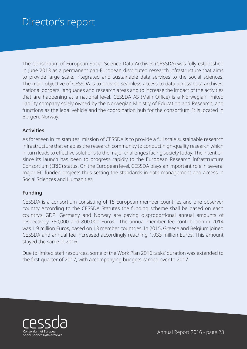# Director's report

The Consortium of European Social Science Data Archives (CESSDA) was fully established in June 2013 as a permanent pan-European distributed research infrastructure that aims to provide large scale, integrated and sustainable data services to the social sciences. The main objective of CESSDA is to provide seamless access to data across data archives, national borders, languages and research areas and to increase the impact of the activities that are happening at a national level. CESSDA AS (Main Office) is a Norwegian limited liability company solely owned by the Norwegian Ministry of Education and Research, and functions as the legal vehicle and the coordination hub for the consortium. It is located in Bergen, Norway.

### **Activities**

As foreseen in its statutes, mission of CESSDA is to provide a full scale sustainable research infrastructure that enables the research community to conduct high-quality research which in turn leads to effective solutions to the major challenges facing society today. The intention since its launch has been to progress rapidly to the European Research Infrastructure Consortium (ERIC) status. On the European level, CESSDA plays an important role in several major EC funded projects thus setting the standards in data management and access in Social Sciences and Humanities.

#### **Funding**

CESSDA is a consortium consisting of 15 European member countries and one observer country According to the CESSDA Statutes the funding scheme shall be based on each country's GDP. Germany and Norway are paying disproportional annual amounts of respectively 750,000 and 800,000 Euros. The annual member fee contribution in 2014 was 1.9 million Euros, based on 13 member countries. In 2015, Greece and Belgium joined CESSDA and annual fee increased accordingly reaching 1.933 million Euros. This amount stayed the same in 2016.

Due to limited staff resources, some of the Work Plan 2016 tasks' duration was extended to the first quarter of 2017, with accompanying budgets carried over to 2017.

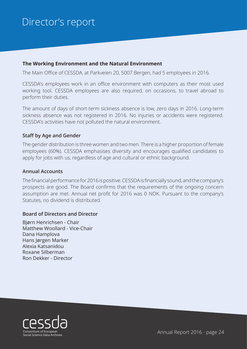# Director's report

#### **The Working Environment and the Natural Environment**

The Main Office of CESSDA, at Parkveien 20, 5007 Bergen, had 5 employees in 2016.

CESSDA's employees work in an office environment with computers as their most used working tool. CESSDA employees are also required, on occasions, to travel abroad to perform their duties.

The amount of days of short-term sickness absence is low, zero days in 2016. Long-term sickness absence was not registered in 2016. No injuries or accidents were registered. CESSDA's activities have not polluted the natural environment.

#### **Staff by Age and Gender**

The gender distribution is three women and two men. There is a higher proportion of female employees (60%). CESSDA emphasises diversity and encourages qualified candidates to apply for jobs with us, regardless of age and cultural or ethnic background.

#### **Annual Accounts**

The financial performance for 2016 is positive. CESSDA is financially sound, and the company's prospects are good. The Board confirms that the requirements of the ongoing concern assumption are met. Annual net profit for 2016 was 0 NOK. Pursuant to the company's Statutes, no dividend is distributed.

#### **Board of Directors and Director**

Bjørn Henrichsen - Chair Matthew Woollard - Vice-Chair Dana Hamplova Hans Jørgen Marker Alexia Katsanidou Roxane Silberman Ron Dekker - Director

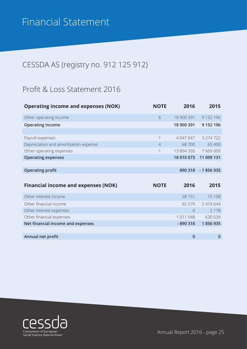# <span id="page-24-0"></span>CESSDA AS (registry no. 912 125 912)

### Profit & Loss Statement 2016

| <b>Operating income and expenses (NOK)</b> | <b>NOTE</b>    | 2016        | 2015         |
|--------------------------------------------|----------------|-------------|--------------|
| Other operating income                     | 6              | 18 900 391  | 9 152 196    |
| <b>Operating Income</b>                    |                | 18 900 391  | 9 152 196    |
|                                            |                |             |              |
| Payroll expenses                           | 1              | 4 047 047   | 3 274 722    |
| Depreciation and amortisation expense      | $\overline{4}$ | 68700       | 65 400       |
| Other operating expenses                   | 1              | 13 894 326  | 7 669 009    |
| <b>Operating expenses</b>                  |                | 18 010 073  | 11 009 131   |
|                                            |                |             |              |
| <b>Operating profit</b>                    |                | 890 318     | $-1856935$   |
|                                            |                |             |              |
| <b>Financial income and expenses (NOK)</b> | <b>NOTE</b>    | 2016        | 2015         |
| Other interest income                      |                | 28 151      | 15 108       |
|                                            |                |             |              |
| Other financial income                     |                | 92 579      | 2 474 644    |
| Other interest expenses                    |                | $\bigcap$   | 2 1 7 8      |
| Other financial expenses                   |                | 1 011 048   | 630 639      |
| Net financial income and expenses          |                | $-890318$   | 1856935      |
|                                            |                |             |              |
| Annual net profit                          |                | $\mathbf 0$ | $\mathbf{0}$ |

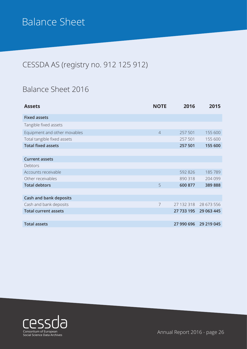# <span id="page-25-0"></span>Balance Sheet

# CESSDA AS (registry no. 912 125 912)

### Balance Sheet 2016

| <b>Assets</b>                 | <b>NOTE</b>    | 2016       | 2015       |
|-------------------------------|----------------|------------|------------|
| <b>Fixed assets</b>           |                |            |            |
| Tangible fixed assets         |                |            |            |
| Equipment and other movables  | $\overline{4}$ | 257 501    | 155 600    |
| Total tangible fixed assets   |                | 257 501    | 155 600    |
| <b>Total fixed assets</b>     |                | 257 501    | 155 600    |
|                               |                |            |            |
| <b>Current assets</b>         |                |            |            |
| Debtors                       |                |            |            |
| Accounts receivable           |                | 592 826    | 185789     |
| Other receivables             |                | 890 318    | 204 099    |
| <b>Total debtors</b>          | 5              | 600 877    | 389888     |
|                               |                |            |            |
| <b>Cash and bank deposits</b> |                |            |            |
| Cash and bank deposits        | $\overline{7}$ | 27 132 318 | 28 673 556 |
| <b>Total current assets</b>   |                | 27 733 195 | 29 063 445 |
|                               |                |            |            |
| <b>Total assets</b>           |                | 27 990 696 | 29 219 045 |
|                               |                |            |            |

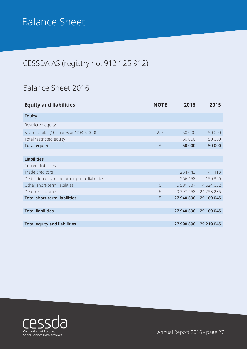# Balance Sheet

# CESSDA AS (registry no. 912 125 912)

# Balance Sheet 2016

| <b>Equity and liabilities</b>                 | <b>NOTE</b> | 2016       | 2015          |
|-----------------------------------------------|-------------|------------|---------------|
| <b>Equity</b>                                 |             |            |               |
| Restricted equity                             |             |            |               |
| Share capital (10 shares at NOK 5 000)        | 2, 3        | 50 000     | 50 000        |
| Total restricted equity                       |             | 50 000     | 50 000        |
| <b>Total equity</b>                           | 3           | 50 000     | 50 000        |
|                                               |             |            |               |
| <b>Liabilities</b>                            |             |            |               |
| Current liabilities                           |             |            |               |
| Trade creditors                               |             | 284 443    | 141 418       |
| Deduction of tax and other public liabilities |             | 266 458    | 150 360       |
| Other short-term liabilities                  | 6           | 6 591 837  | 4 6 2 4 0 3 2 |
| Deferred income                               | 6           | 20 797 958 | 24 253 235    |
| <b>Total short-term liabilities</b>           | 5           | 27 940 696 | 29 169 045    |
|                                               |             |            |               |
| <b>Total liabilities</b>                      |             | 27 940 696 | 29 169 045    |
|                                               |             |            |               |
| <b>Total equity and liabilities</b>           |             | 27 990 696 | 29 219 045    |

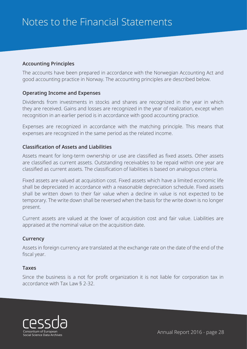### <span id="page-27-0"></span>**Accounting Principles**

The accounts have been prepared in accordance with the Norwegian Accounting Act and good accounting practice in Norway. The accounting principles are described below.

### **Operating Income and Expenses**

Dividends from investments in stocks and shares are recognized in the year in which they are received. Gains and losses are recognized in the year of realization, except when recognition in an earlier period is in accordance with good accounting practice.

Expenses are recognized in accordance with the matching principle. This means that expenses are recognized in the same period as the related income.

### **Classification of Assets and Liabilities**

Assets meant for long-term ownership or use are classified as fixed assets. Other assets are classified as current assets. Outstanding receivables to be repaid within one year are classified as current assets. The classification of liabilities is based on analogous criteria.

Fixed assets are valued at acquisition cost. Fixed assets which have a limited economic life shall be depreciated in accordance with a reasonable depreciation schedule. Fixed assets shall be written down to their fair value when a decline in value is not expected to be temporary. The write down shall be reversed when the basis for the write down is no longer present.

Current assets are valued at the lower of acquisition cost and fair value. Liabilities are appraised at the nominal value on the acquisition date.

### **Currency**

Assets in foreign currency are translated at the exchange rate on the date of the end of the fiscal year.

### **Taxes**

Since the business is a not for profit organization it is not liable for corporation tax in accordance with Tax Law § 2-32.

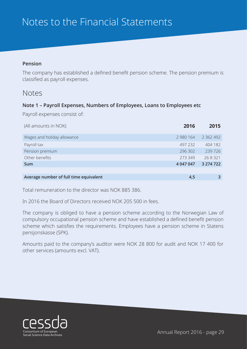### **Pension**

The company has established a defined benefit pension scheme. The pension premium is classified as payroll expenses.

### Notes

### **Note 1 – Payroll Expenses, Numbers of Employees, Loans to Employees etc**

Payroll expenses consist of:

| (All amounts in NOK)                   | 2016      | 2015          |
|----------------------------------------|-----------|---------------|
| Wages and holiday allowance            | 2 980 164 | 2 3 6 2 4 9 2 |
| Payroll tax                            | 497 232   | 404 182       |
| Pension premium                        | 296 302   | 239 726       |
| Other benefits                         | 273 349   | 268321        |
| <b>Sum</b>                             | 4 047 047 | 3 274 722     |
|                                        |           |               |
| Average number of full time equivalent | 4,5       |               |

Total remuneration to the director was NOK 885 386.

In 2016 the Board of Directors received NOK 205 500 in fees.

The company is obliged to have a pension scheme according to the Norwegian Law of compulsory occupational pension scheme and have established a defined benefit pension scheme which satisfies the requirements. Employees have a pension scheme in Statens pensjonskasse (SPK).

Amounts paid to the company's auditor were NOK 28 800 for audit and NOK 17 400 for other services (amounts excl. VAT).

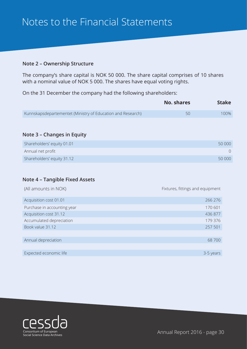### **Note 2 – Ownership Structure**

The company's share capital is NOK 50 000. The share capital comprises of 10 shares with a nominal value of NOK 5 000. The shares have equal voting rights.

On the 31 December the company had the following shareholders:

|                                                             | No. shares | <b>Stake</b> |
|-------------------------------------------------------------|------------|--------------|
| Kunnskapsdepartementet (Ministry of Education and Research) |            | 100%         |

#### **Note 3 – Changes in Equity**

| Shareholders' equity 01.01 | 50 000 |
|----------------------------|--------|
| Annual net profit          |        |
| Shareholders' equity 31.12 | 50 000 |

#### **Note 4 – Tangible Fixed Assets**

| (All amounts in NOK)        | Fixtures, fittings and equipment |
|-----------------------------|----------------------------------|
| Acquisition cost 01.01      | 266 276                          |
| Purchase in accounting year | 170 601                          |
| Acquisition cost 31.12      | 436 877                          |
| Accumulated depreciation    | 179 376                          |
| Book value 31.12            | 257 501                          |
|                             |                                  |
| Annual depreciation         | 68700                            |
|                             |                                  |
| Expected economic life      | 3-5 years                        |

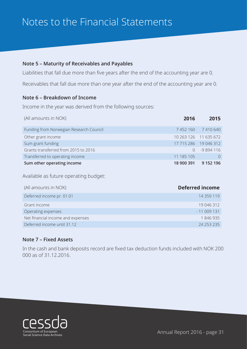### **Note 5 – Maturity of Receivables and Payables**

Liabilities that fall due more than five years after the end of the accounting year are 0.

Receivables that fall due more than one year after the end of the accounting year are 0.

### **Note 6 – Breakdown of Income**

Income in the year was derived from the following sources:

| (All amounts in NOK)                    | 2016       | 2015                  |
|-----------------------------------------|------------|-----------------------|
| Funding from Norwegian Research Council |            | 7452160 7410640       |
| Other grant income                      |            | 10 263 126 11 635 672 |
| Sum grant funding                       |            | 17 715 286 19 046 312 |
| Grants transferred from 2015 to 2016    |            | $-9894116$            |
| Transferred to operating income         | 11 185 105 |                       |
| Sum other operating income              | 18 900 391 | 9 152 196             |

Available as future operating budget:

| (All amounts in NOK)              | <b>Deferred income</b> |
|-----------------------------------|------------------------|
| Deferred income pr. 01.01         | 14 3 5 9 1 1 9         |
| Grant income                      | 19 046 312             |
| Operating expenses                | $-11009131$            |
| Net financial income and expenses | 1846935                |
| Deferred income until 31.12       | 24 253 235             |

### **Note 7 – Fixed Assets**

In the cash and bank deposits record are fixed tax deduction funds included with NOK 200 000 as of 31.12.2016.

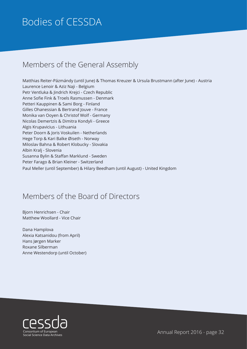# <span id="page-31-0"></span>Bodies of CESSDA

### Members of the General Assembly

Matthias Reiter-Pázmándy (until June) & Thomas Kreuzer & Ursula Brustmann (after June) - Austria Laurence Lenoir & Aziz Naji - Belgium Petr Ventluka & Jindrich Krejci - Czech Republic Anne Sofie Fink & Troels Rasmussen - Denmark Petteri Kauppinen & Sami Borg - Finland Gilles Ohanessian & Bertrand Jouve - France Monika van Ooyen & Christof Wolf - Germany Nicolas Demertzis & Dimitra Kondyli - Greece Algis Krupavicius - Lithuania Peter Doorn & Joris Voskuilen - Netherlands Hege Torp & Kari Balke Øiseth - Norway Miloslav Bahna & Robert Klobucky - Slovakia Albin Kralj - Slovenia Susanna Bylin & Staffan Marklund - Sweden Peter Farago & Brian Kleiner - Switzerland Paul Meller (until September) & Hilary Beedham (until August) - United Kingdom

### Members of the Board of Directors

Bjorn Henrichsen - Chair Matthew Woollard - Vice Chair

Dana Hamplova Alexia Katsanidou (from April) Hans Jørgen Marker Roxane Silberman Anne Westendorp (until October)

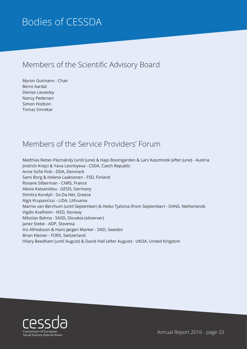# <span id="page-32-0"></span>Bodies of CESSDA

# Members of the Scientific Advisory Board

Myron Gutmann - Chair Bernt Aardal Denise Lievesley Nancy Pedersen Simon Hodson Tomaz Smrekar

### Members of the Service Providers' Forum

Matthias Reiter-Pázmándy (until June) & Hajo Boomgarden & Lars Kaszmirek (after June) - Austria Jindrich Krejci & Yana Leontiyeva - CSDA, Czech Republic Anne Sofie Fink - DDA, Denmark Sami Borg & Helena Laaksonen - FSD, Finland Roxane Silberman - CNRS, France Alexia Katsanidou - GESIS, Germany Dimitra Kondyli - So.Da.Net, Greece Algis Krupavicius - LiDA, Lithuania Marnix van Berchum (until September) & Heiko Tjalsma (from September) - DANS, Netherlands Vigdis Kvalheim - NSD, Norway Miloslav Bahna - SASD, Slovakia (observer) Janez Stebe - ADP, Slovenia Iris Alfredsson & Hans Jørgen Marker - SND, Sweden Brian Kleiner - FORS, Switzerland Hilary Beedham (until August) & David Hall (after August) - UKDA, United Kingdom

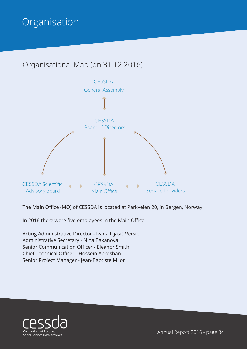# <span id="page-33-0"></span>**Organisation**

# Organisational Map (on 31.12.2016)



The Main Office (MO) of CESSDA is located at Parkveien 20, in Bergen, Norway.

In 2016 there were five employees in the Main Office:

Acting Administrative Director - Ivana Ilijašić Veršić Administrative Secretary - Nina Bakanova Senior Communication Officer - Eleanor Smith Chief Technical Officer - Hossein Abroshan Senior Project Manager - Jean-Baptiste Milon

![](_page_33_Picture_6.jpeg)